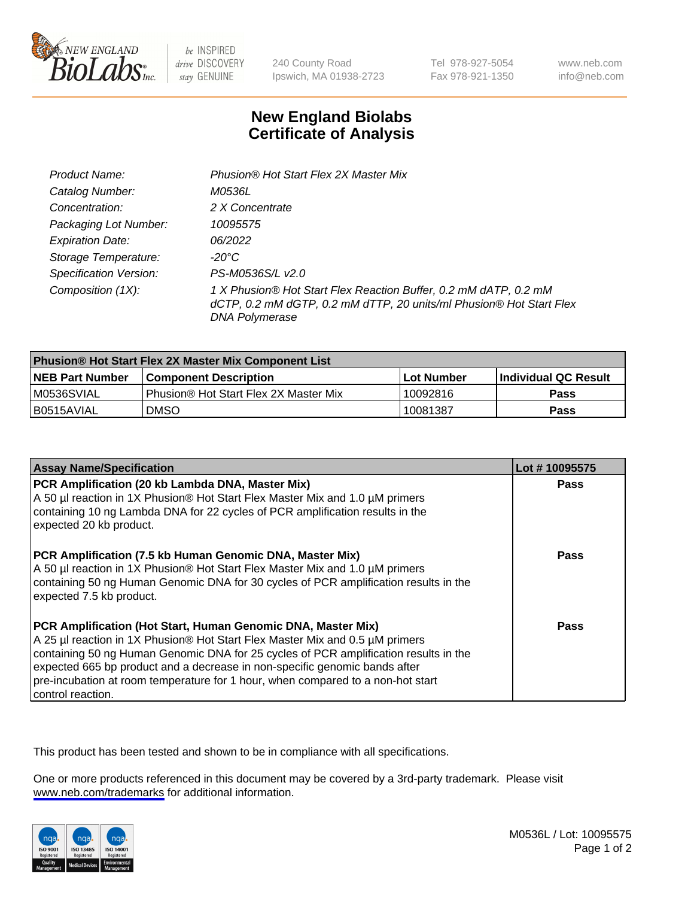

be INSPIRED drive DISCOVERY stay GENUINE

240 County Road Ipswich, MA 01938-2723 Tel 978-927-5054 Fax 978-921-1350

www.neb.com info@neb.com

## **New England Biolabs Certificate of Analysis**

| Product Name:                 | Phusion® Hot Start Flex 2X Master Mix                                                                                                                     |
|-------------------------------|-----------------------------------------------------------------------------------------------------------------------------------------------------------|
| Catalog Number:               | M0536L                                                                                                                                                    |
| Concentration:                | 2 X Concentrate                                                                                                                                           |
| Packaging Lot Number:         | 10095575                                                                                                                                                  |
| <b>Expiration Date:</b>       | 06/2022                                                                                                                                                   |
| Storage Temperature:          | -20°C                                                                                                                                                     |
| <b>Specification Version:</b> | PS-M0536S/L v2.0                                                                                                                                          |
| Composition (1X):             | 1 X Phusion® Hot Start Flex Reaction Buffer, 0.2 mM dATP, 0.2 mM<br>dCTP, 0.2 mM dGTP, 0.2 mM dTTP, 20 units/ml Phusion® Hot Start Flex<br>DNA Polymerase |

| <b>Phusion® Hot Start Flex 2X Master Mix Component List</b> |                                              |            |                             |  |
|-------------------------------------------------------------|----------------------------------------------|------------|-----------------------------|--|
| <b>NEB Part Number</b>                                      | <b>Component Description</b>                 | Lot Number | <b>Individual QC Result</b> |  |
| IM0536SVIAL                                                 | <b>Phusion® Hot Start Flex 2X Master Mix</b> | 10092816   | <b>Pass</b>                 |  |
| I B0515AVIAL                                                | DMSO                                         | 10081387   | Pass                        |  |

| <b>Assay Name/Specification</b>                                                                                                                                                                                                                                                                                                                                                                                            | Lot #10095575 |
|----------------------------------------------------------------------------------------------------------------------------------------------------------------------------------------------------------------------------------------------------------------------------------------------------------------------------------------------------------------------------------------------------------------------------|---------------|
| PCR Amplification (20 kb Lambda DNA, Master Mix)<br>A 50 µl reaction in 1X Phusion® Hot Start Flex Master Mix and 1.0 µM primers<br>containing 10 ng Lambda DNA for 22 cycles of PCR amplification results in the                                                                                                                                                                                                          | <b>Pass</b>   |
| expected 20 kb product.                                                                                                                                                                                                                                                                                                                                                                                                    |               |
| PCR Amplification (7.5 kb Human Genomic DNA, Master Mix)<br>A 50 µl reaction in 1X Phusion® Hot Start Flex Master Mix and 1.0 µM primers<br>containing 50 ng Human Genomic DNA for 30 cycles of PCR amplification results in the<br>expected 7.5 kb product.                                                                                                                                                               | <b>Pass</b>   |
| PCR Amplification (Hot Start, Human Genomic DNA, Master Mix)<br>A 25 µl reaction in 1X Phusion® Hot Start Flex Master Mix and 0.5 µM primers<br>containing 50 ng Human Genomic DNA for 25 cycles of PCR amplification results in the<br>expected 665 bp product and a decrease in non-specific genomic bands after<br>pre-incubation at room temperature for 1 hour, when compared to a non-hot start<br>control reaction. | Pass          |

This product has been tested and shown to be in compliance with all specifications.

One or more products referenced in this document may be covered by a 3rd-party trademark. Please visit <www.neb.com/trademarks>for additional information.